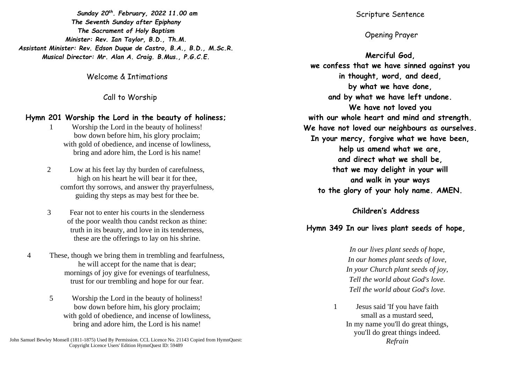*Sunday 20th. February, 2022 11.00 am The Seventh Sunday after Epiphany The Sacrament of Holy Baptism Minister: Rev. Ian Taylor, B.D., Th.M. Assistant Minister: Rev. Edson Duque de Castro, B.A., B.D., M.Sc.R. Musical Director: Mr. Alan A. Craig. B.Mus., P.G.C.E.*

Welcome & Intimations

Call to Worship

### **Hymn 201 Worship the Lord in the beauty of holiness;**

- 1 Worship the Lord in the beauty of holiness! bow down before him, his glory proclaim; with gold of obedience, and incense of lowliness, bring and adore him, the Lord is his name!
- 2 Low at his feet lay thy burden of carefulness, high on his heart he will bear it for thee, comfort thy sorrows, and answer thy prayerfulness, guiding thy steps as may best for thee be.
- 3 Fear not to enter his courts in the slenderness of the poor wealth thou candst reckon as thine: truth in its beauty, and love in its tenderness, these are the offerings to lay on his shrine.
- 4 These, though we bring them in trembling and fearfulness, he will accept for the name that is dear; mornings of joy give for evenings of tearfulness, trust for our trembling and hope for our fear.
	- 5 Worship the Lord in the beauty of holiness! bow down before him, his glory proclaim; with gold of obedience, and incense of lowliness, bring and adore him, the Lord is his name!

John Samuel Bewley Monsell (1811-1875) Used By Permission. CCL Licence No. 21143 Copied from HymnQuest: Copyright Licence Users' Edition HymnQuest ID: 59489

Scripture Sentence

# Opening Prayer

**Merciful God, we confess that we have sinned against you in thought, word, and deed, by what we have done, and by what we have left undone. We have not loved you with our whole heart and mind and strength. We have not loved our neighbours as ourselves. In your mercy, forgive what we have been, help us amend what we are, and direct what we shall be, that we may delight in your will and walk in your ways to the glory of your holy name. AMEN.**

### **Children's Address**

## **Hymn 349 In our lives plant seeds of hope,**

*In our lives plant seeds of hope, In our homes plant seeds of love, In your Church plant seeds of joy, Tell the world about God's love. Tell the world about God's love.* 

1 Jesus said 'If you have faith small as a mustard seed, In my name you'll do great things, you'll do great things indeed. *Refrain*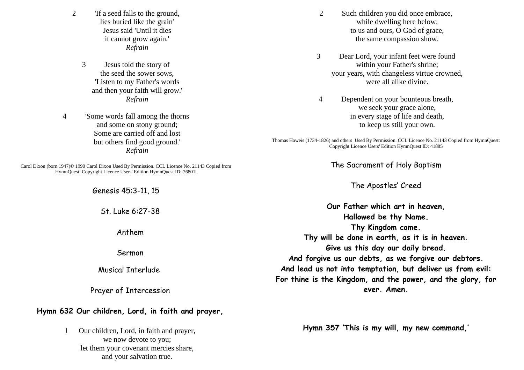- 2 'If a seed falls to the ground, lies buried like the grain' Jesus said 'Until it dies it cannot grow again.' *Refrain* 
	- 3 Jesus told the story of the seed the sower sows, 'Listen to my Father's words and then your faith will grow.' *Refrain*

4 'Some words fall among the thorns and some on stony ground; Some are carried off and lost but others find good ground.' *Refrain* 

Carol Dixon (born 1947)© 1990 Carol Dixon Used By Permission. CCL Licence No. 21143 Copied from HymnQuest: Copyright Licence Users' Edition HymnQuest ID: 76801l

Genesis 45:3-11, 15

St. Luke 6:27-38

Anthem

Sermon

Musical Interlude

Prayer of Intercession

### **Hymn 632 Our children, Lord, in faith and prayer,**

1 Our children, Lord, in faith and prayer, we now devote to you; let them your covenant mercies share, and your salvation true.

- 2 Such children you did once embrace, while dwelling here below; to us and ours, O God of grace, the same compassion show.
- 3 Dear Lord, your infant feet were found within your Father's shrine; your years, with changeless virtue crowned, were all alike divine.
- 4 Dependent on your bounteous breath, we seek your grace alone, in every stage of life and death, to keep us still your own.

Thomas Haweis (1734-1826) and others Used By Permission. CCL Licence No. 21143 Copied from HymnQuest: Copyright Licence Users' Edition HymnQuest ID: 41885

The Sacrament of Holy Baptism

The Apostles' Creed

**Our Father which art in heaven, Hallowed be thy Name. Thy Kingdom come. Thy will be done in earth, as it is in heaven. Give us this day our daily bread. And forgive us our debts, as we forgive our debtors. And lead us not into temptation, but deliver us from evil: For thine is the Kingdom, and the power, and the glory, for ever. Amen.**

**Hymn 357 'This is my will, my new command,'**